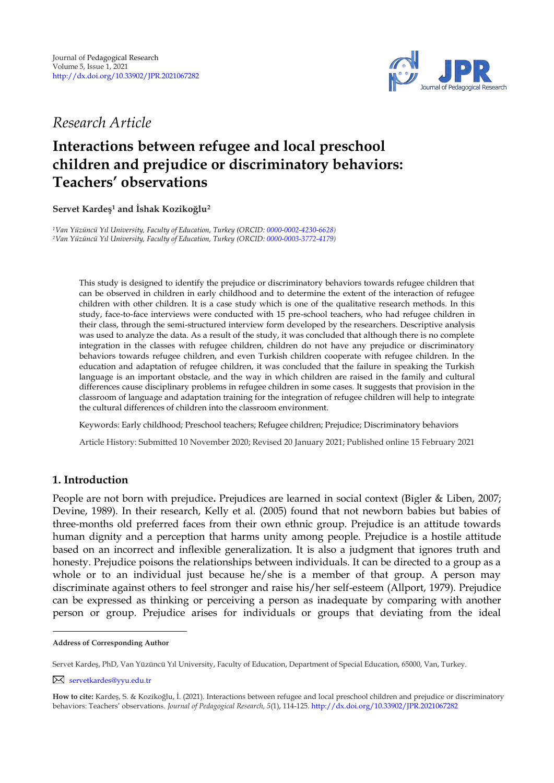

*Research Article* 

# **Interactions between refugee and local preschool children and prejudice or discriminatory behaviors: Teachers' observations**

**Servet Kardeş<sup>1</sup> and İshak Kozikoğlu 2 1**

*<sup>1</sup>Van Yüzüncü Yıl University, Faculty of Education, Turkey (ORCID: [0000-0002-4230-6628\)](https://orcid.org/0000-0002-4230-6628) <sup>2</sup>Van Yüzüncü Yıl University, Faculty of Education, Turkey (ORCID: [0000-0003-3772-4179\)](https://orcid.org/0000-0003-3772-4179)*

This study is designed to identify the prejudice or discriminatory behaviors towards refugee children that can be observed in children in early childhood and to determine the extent of the interaction of refugee children with other children. It is a case study which is one of the qualitative research methods. In this study, face-to-face interviews were conducted with 15 pre-school teachers, who had refugee children in their class, through the semi-structured interview form developed by the researchers. Descriptive analysis was used to analyze the data. As a result of the study, it was concluded that although there is no complete integration in the classes with refugee children, children do not have any prejudice or discriminatory behaviors towards refugee children, and even Turkish children cooperate with refugee children. In the education and adaptation of refugee children, it was concluded that the failure in speaking the Turkish language is an important obstacle, and the way in which children are raised in the family and cultural differences cause disciplinary problems in refugee children in some cases. It suggests that provision in the classroom of language and adaptation training for the integration of refugee children will help to integrate the cultural differences of children into the classroom environment.

Keywords: Early childhood; Preschool teachers; Refugee children; Prejudice; Discriminatory behaviors

Article History: Submitted 10 November 2020; Revised 20 January 2021; Published online 15 February 2021

# **1. Introduction**

People are not born with prejudice**.** Prejudices are learned in social context (Bigler & Liben, 2007; Devine, 1989). In their research, Kelly et al. (2005) found that not newborn babies but babies of three-months old preferred faces from their own ethnic group. Prejudice is an attitude towards human dignity and a perception that harms unity among people. Prejudice is a hostile attitude based on an incorrect and inflexible generalization. It is also a judgment that ignores truth and honesty. Prejudice poisons the relationships between individuals. It can be directed to a group as a whole or to an individual just because he/she is a member of that group. A person may discriminate against others to feel stronger and raise his/her self-esteem (Allport, 1979). Prejudice can be expressed as thinking or perceiving a person as inadequate by comparing with another person or group. Prejudice arises for individuals or groups that deviating from the ideal

**Address of Corresponding Author**

Servet Kardeş, PhD, Van Yüzüncü Yıl University, Faculty of Education, Department of Special Education, 65000, Van, Turkey.

[servetkardes@yyu.edu.tr](mailto:servetkardes@yyu.edu.tr)

**How to cite:** Kardeş, S. & Kozikoğlu, İ. (2021). Interactions between refugee and local preschool children and prejudice or discriminatory behaviors: Teachers' observations. *Journal of Pedagogical Research, 5*(1), 114-125*.* <http://dx.doi.org/10.33902/JPR.2021067282>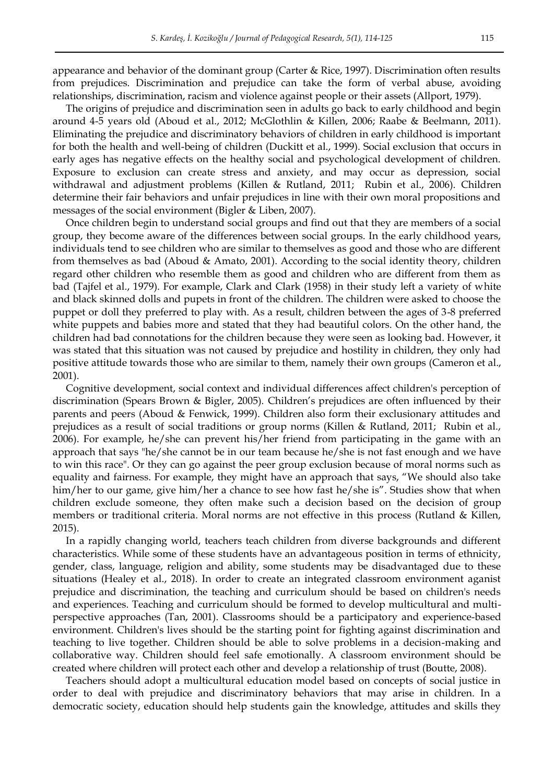appearance and behavior of the dominant group (Carter & Rice, 1997). Discrimination often results from prejudices. Discrimination and prejudice can take the form of verbal abuse, avoiding relationships, discrimination, racism and violence against people or their assets (Allport, 1979).

The origins of prejudice and discrimination seen in adults go back to early childhood and begin around 4-5 years old (Aboud et al., 2012; McGlothlin & Killen, 2006; Raabe & Beelmann, 2011). Eliminating the prejudice and discriminatory behaviors of children in early childhood is important for both the health and well-being of children (Duckitt et al., 1999). Social exclusion that occurs in early ages has negative effects on the healthy social and psychological development of children. Exposure to exclusion can create stress and anxiety, and may occur as depression, social withdrawal and adjustment problems (Killen & Rutland, 2011; Rubin et al., 2006). Children determine their fair behaviors and unfair prejudices in line with their own moral propositions and messages of the social environment (Bigler & Liben, 2007).

Once children begin to understand social groups and find out that they are members of a social group, they become aware of the differences between social groups. In the early childhood years, individuals tend to see children who are similar to themselves as good and those who are different from themselves as bad (Aboud & Amato, 2001). According to the social identity theory, children regard other children who resemble them as good and children who are different from them as bad (Tajfel et al., 1979). For example, Clark and Clark (1958) in their study left a variety of white and black skinned dolls and pupets in front of the children. The children were asked to choose the puppet or doll they preferred to play with. As a result, children between the ages of 3-8 preferred white puppets and babies more and stated that they had beautiful colors. On the other hand, the children had bad connotations for the children because they were seen as looking bad. However, it was stated that this situation was not caused by prejudice and hostility in children, they only had positive attitude towards those who are similar to them, namely their own groups (Cameron et al., 2001).

Cognitive development, social context and individual differences affect children's perception of discrimination (Spears Brown & Bigler, 2005). Children's prejudices are often influenced by their parents and peers (Aboud & Fenwick, 1999). Children also form their exclusionary attitudes and prejudices as a result of social traditions or group norms (Killen & Rutland, 2011; Rubin et al., 2006). For example, he/she can prevent his/her friend from participating in the game with an approach that says "he/she cannot be in our team because he/she is not fast enough and we have to win this race". Or they can go against the peer group exclusion because of moral norms such as equality and fairness. For example, they might have an approach that says, "We should also take him/her to our game, give him/her a chance to see how fast he/she is". Studies show that when children exclude someone, they often make such a decision based on the decision of group members or traditional criteria. Moral norms are not effective in this process (Rutland & Killen, 2015).

In a rapidly changing world, teachers teach children from diverse backgrounds and different characteristics. While some of these students have an advantageous position in terms of ethnicity, gender, class, language, religion and ability, some students may be disadvantaged due to these situations (Healey et al., 2018). In order to create an integrated classroom environment aganist prejudice and discrimination, the teaching and curriculum should be based on children's needs and experiences. Teaching and curriculum should be formed to develop multicultural and multiperspective approaches (Tan, 2001). Classrooms should be a participatory and experience-based environment. Children's lives should be the starting point for fighting against discrimination and teaching to live together. Children should be able to solve problems in a decision-making and collaborative way. Children should feel safe emotionally. A classroom environment should be created where children will protect each other and develop a relationship of trust (Boutte, 2008).

Teachers should adopt a multicultural education model based on concepts of social justice in order to deal with prejudice and discriminatory behaviors that may arise in children. In a democratic society, education should help students gain the knowledge, attitudes and skills they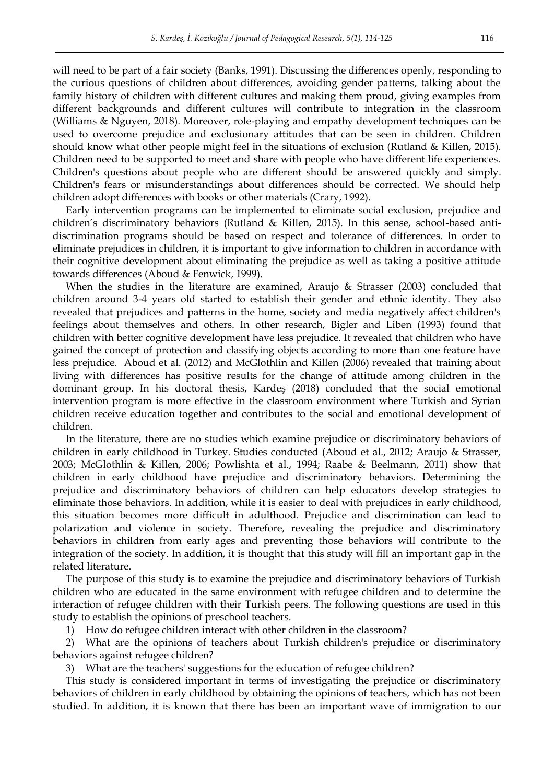will need to be part of a fair society (Banks, 1991). Discussing the differences openly, responding to the curious questions of children about differences, avoiding gender patterns, talking about the family history of children with different cultures and making them proud, giving examples from different backgrounds and different cultures will contribute to integration in the classroom (Williams & Nguyen, 2018). Moreover, role-playing and empathy development techniques can be used to overcome prejudice and exclusionary attitudes that can be seen in children. Children should know what other people might feel in the situations of exclusion (Rutland & Killen, 2015). Children need to be supported to meet and share with people who have different life experiences. Children's questions about people who are different should be answered quickly and simply. Children's fears or misunderstandings about differences should be corrected. We should help children adopt differences with books or other materials (Crary, 1992).

Early intervention programs can be implemented to eliminate social exclusion, prejudice and children's discriminatory behaviors (Rutland & Killen, 2015). In this sense, school-based antidiscrimination programs should be based on respect and tolerance of differences. In order to eliminate prejudices in children, it is important to give information to children in accordance with their cognitive development about eliminating the prejudice as well as taking a positive attitude towards differences (Aboud & Fenwick, 1999).

When the studies in the literature are examined, Araujo & Strasser (2003) concluded that children around 3-4 years old started to establish their gender and ethnic identity. They also revealed that prejudices and patterns in the home, society and media negatively affect children's feelings about themselves and others. In other research, Bigler and Liben (1993) found that children with better cognitive development have less prejudice. It revealed that children who have gained the concept of protection and classifying objects according to more than one feature have less prejudice. Aboud et al. (2012) and McGlothlin and Killen (2006) revealed that training about living with differences has positive results for the change of attitude among children in the dominant group. In his doctoral thesis, Kardeş (2018) concluded that the social emotional intervention program is more effective in the classroom environment where Turkish and Syrian children receive education together and contributes to the social and emotional development of children.

In the literature, there are no studies which examine prejudice or discriminatory behaviors of children in early childhood in Turkey. Studies conducted (Aboud et al., 2012; Araujo & Strasser, 2003; McGlothlin & Killen, 2006; Powlishta et al., 1994; Raabe & Beelmann, 2011) show that children in early childhood have prejudice and discriminatory behaviors. Determining the prejudice and discriminatory behaviors of children can help educators develop strategies to eliminate those behaviors. In addition, while it is easier to deal with prejudices in early childhood, this situation becomes more difficult in adulthood. Prejudice and discrimination can lead to polarization and violence in society. Therefore, revealing the prejudice and discriminatory behaviors in children from early ages and preventing those behaviors will contribute to the integration of the society. In addition, it is thought that this study will fill an important gap in the related literature.

The purpose of this study is to examine the prejudice and discriminatory behaviors of Turkish children who are educated in the same environment with refugee children and to determine the interaction of refugee children with their Turkish peers. The following questions are used in this study to establish the opinions of preschool teachers.

1) How do refugee children interact with other children in the classroom?

2) What are the opinions of teachers about Turkish children's prejudice or discriminatory behaviors against refugee children?

3) What are the teachers' suggestions for the education of refugee children?

This study is considered important in terms of investigating the prejudice or discriminatory behaviors of children in early childhood by obtaining the opinions of teachers, which has not been studied. In addition, it is known that there has been an important wave of immigration to our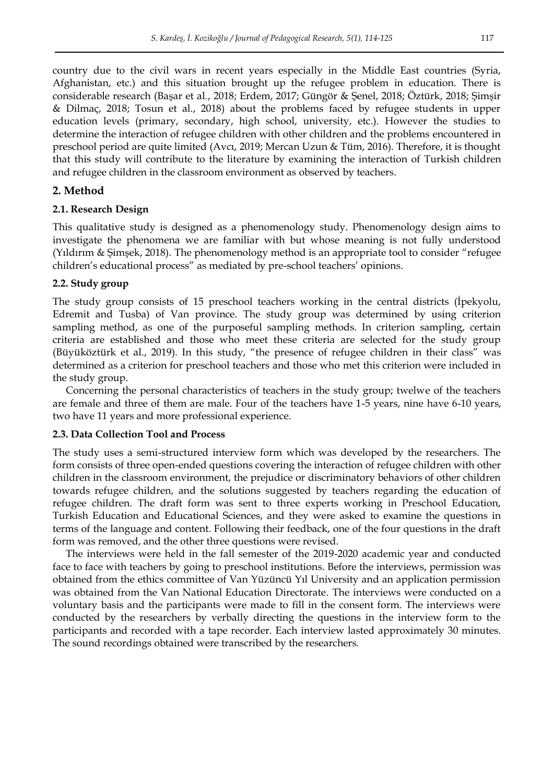country due to the civil wars in recent years especially in the Middle East countries (Syria, Afghanistan, etc.) and this situation brought up the refugee problem in education. There is considerable research (Başar et al., 2018; Erdem, 2017; Güngör & Şenel, 2018; Öztürk, 2018; Şimşir & Dilmaç, 2018; Tosun et al., 2018) about the problems faced by refugee students in upper education levels (primary, secondary, high school, university, etc.). However the studies to determine the interaction of refugee children with other children and the problems encountered in preschool period are quite limited (Avcı, 2019; Mercan Uzun & Tüm, 2016). Therefore, it is thought that this study will contribute to the literature by examining the interaction of Turkish children and refugee children in the classroom environment as observed by teachers.

# **2. Method**

# **2.1. Research Design**

This qualitative study is designed as a phenomenology study. Phenomenology design aims to investigate the phenomena we are familiar with but whose meaning is not fully understood (Yıldırım & Şimşek, 2018). The phenomenology method is an appropriate tool to consider "refugee children's educational process" as mediated by pre-school teachers' opinions.

#### **2.2. Study group**

The study group consists of 15 preschool teachers working in the central districts (İpekyolu, Edremit and Tusba) of Van province. The study group was determined by using criterion sampling method, as one of the purposeful sampling methods. In criterion sampling, certain criteria are established and those who meet these criteria are selected for the study group (Büyüköztürk et al., 2019). In this study, "the presence of refugee children in their class" was determined as a criterion for preschool teachers and those who met this criterion were included in the study group.

Concerning the personal characteristics of teachers in the study group; twelwe of the teachers are female and three of them are male. Four of the teachers have 1-5 years, nine have 6-10 years, two have 11 years and more professional experience.

# **2.3. Data Collection Tool and Process**

The study uses a semi-structured interview form which was developed by the researchers. The form consists of three open-ended questions covering the interaction of refugee children with other children in the classroom environment, the prejudice or discriminatory behaviors of other children towards refugee children, and the solutions suggested by teachers regarding the education of refugee children. The draft form was sent to three experts working in Preschool Education, Turkish Education and Educational Sciences, and they were asked to examine the questions in terms of the language and content. Following their feedback, one of the four questions in the draft form was removed, and the other three questions were revised.

The interviews were held in the fall semester of the 2019-2020 academic year and conducted face to face with teachers by going to preschool institutions. Before the interviews, permission was obtained from the ethics committee of Van Yüzüncü Yıl University and an application permission was obtained from the Van National Education Directorate. The interviews were conducted on a voluntary basis and the participants were made to fill in the consent form. The interviews were conducted by the researchers by verbally directing the questions in the interview form to the participants and recorded with a tape recorder. Each interview lasted approximately 30 minutes. The sound recordings obtained were transcribed by the researchers.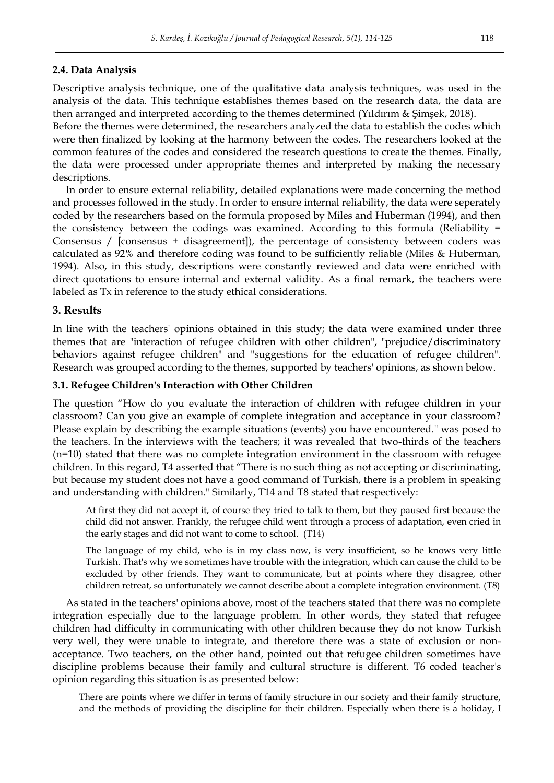#### **2.4. Data Analysis**

Descriptive analysis technique, one of the qualitative data analysis techniques, was used in the analysis of the data. This technique establishes themes based on the research data, the data are then arranged and interpreted according to the themes determined (Yıldırım & Şimşek, 2018).

Before the themes were determined, the researchers analyzed the data to establish the codes which were then finalized by looking at the harmony between the codes. The researchers looked at the common features of the codes and considered the research questions to create the themes. Finally, the data were processed under appropriate themes and interpreted by making the necessary descriptions.

In order to ensure external reliability, detailed explanations were made concerning the method and processes followed in the study. In order to ensure internal reliability, the data were seperately coded by the researchers based on the formula proposed by Miles and Huberman (1994), and then the consistency between the codings was examined. According to this formula (Reliability = Consensus / [consensus + disagreement]), the percentage of consistency between coders was calculated as 92% and therefore coding was found to be sufficiently reliable (Miles & Huberman, 1994). Also, in this study, descriptions were constantly reviewed and data were enriched with direct quotations to ensure internal and external validity. As a final remark, the teachers were labeled as Tx in reference to the study ethical considerations.

#### **3. Results**

In line with the teachers' opinions obtained in this study; the data were examined under three themes that are "interaction of refugee children with other children", "prejudice/discriminatory behaviors against refugee children" and "suggestions for the education of refugee children". Research was grouped according to the themes, supported by teachers' opinions, as shown below.

# **3.1. Refugee Children's Interaction with Other Children**

The question "How do you evaluate the interaction of children with refugee children in your classroom? Can you give an example of complete integration and acceptance in your classroom? Please explain by describing the example situations (events) you have encountered." was posed to the teachers. In the interviews with the teachers; it was revealed that two-thirds of the teachers (n=10) stated that there was no complete integration environment in the classroom with refugee children. In this regard, T4 asserted that "There is no such thing as not accepting or discriminating, but because my student does not have a good command of Turkish, there is a problem in speaking and understanding with children." Similarly, T14 and T8 stated that respectively:

At first they did not accept it, of course they tried to talk to them, but they paused first because the child did not answer. Frankly, the refugee child went through a process of adaptation, even cried in the early stages and did not want to come to school. (T14)

The language of my child, who is in my class now, is very insufficient, so he knows very little Turkish. That's why we sometimes have trouble with the integration, which can cause the child to be excluded by other friends. They want to communicate, but at points where they disagree, other children retreat, so unfortunately we cannot describe about a complete integration environment. (T8)

As stated in the teachers' opinions above, most of the teachers stated that there was no complete integration especially due to the language problem. In other words, they stated that refugee children had difficulty in communicating with other children because they do not know Turkish very well, they were unable to integrate, and therefore there was a state of exclusion or nonacceptance. Two teachers, on the other hand, pointed out that refugee children sometimes have discipline problems because their family and cultural structure is different. T6 coded teacher's opinion regarding this situation is as presented below:

There are points where we differ in terms of family structure in our society and their family structure, and the methods of providing the discipline for their children. Especially when there is a holiday, I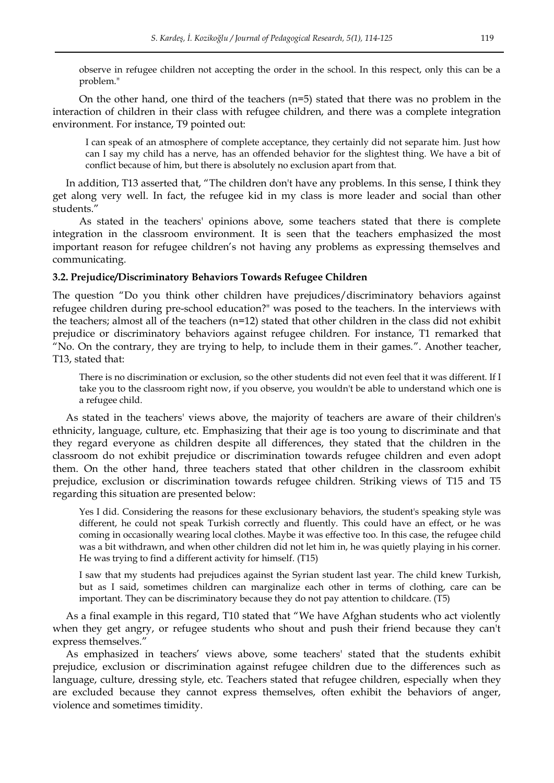observe in refugee children not accepting the order in the school. In this respect, only this can be a problem."

On the other hand, one third of the teachers  $(n=5)$  stated that there was no problem in the interaction of children in their class with refugee children, and there was a complete integration environment. For instance, T9 pointed out:

I can speak of an atmosphere of complete acceptance, they certainly did not separate him. Just how can I say my child has a nerve, has an offended behavior for the slightest thing. We have a bit of conflict because of him, but there is absolutely no exclusion apart from that.

In addition, T13 asserted that, "The children don't have any problems. In this sense, I think they get along very well. In fact, the refugee kid in my class is more leader and social than other students."

As stated in the teachers' opinions above, some teachers stated that there is complete integration in the classroom environment. It is seen that the teachers emphasized the most important reason for refugee children's not having any problems as expressing themselves and communicating.

#### **3.2. Prejudice/Discriminatory Behaviors Towards Refugee Children**

The question "Do you think other children have prejudices/discriminatory behaviors against refugee children during pre-school education?" was posed to the teachers. In the interviews with the teachers; almost all of the teachers (n=12) stated that other children in the class did not exhibit prejudice or discriminatory behaviors against refugee children. For instance, T1 remarked that "No. On the contrary, they are trying to help, to include them in their games.". Another teacher, T13, stated that:

There is no discrimination or exclusion, so the other students did not even feel that it was different. If I take you to the classroom right now, if you observe, you wouldn't be able to understand which one is a refugee child.

As stated in the teachers' views above, the majority of teachers are aware of their children's ethnicity, language, culture, etc. Emphasizing that their age is too young to discriminate and that they regard everyone as children despite all differences, they stated that the children in the classroom do not exhibit prejudice or discrimination towards refugee children and even adopt them. On the other hand, three teachers stated that other children in the classroom exhibit prejudice, exclusion or discrimination towards refugee children. Striking views of T15 and T5 regarding this situation are presented below:

Yes I did. Considering the reasons for these exclusionary behaviors, the student's speaking style was different, he could not speak Turkish correctly and fluently. This could have an effect, or he was coming in occasionally wearing local clothes. Maybe it was effective too. In this case, the refugee child was a bit withdrawn, and when other children did not let him in, he was quietly playing in his corner. He was trying to find a different activity for himself. (T15)

I saw that my students had prejudices against the Syrian student last year. The child knew Turkish, but as I said, sometimes children can marginalize each other in terms of clothing, care can be important. They can be discriminatory because they do not pay attention to childcare. (T5)

As a final example in this regard, T10 stated that "We have Afghan students who act violently when they get angry, or refugee students who shout and push their friend because they can't express themselves."

As emphasized in teachers' views above, some teachers' stated that the students exhibit prejudice, exclusion or discrimination against refugee children due to the differences such as language, culture, dressing style, etc. Teachers stated that refugee children, especially when they are excluded because they cannot express themselves, often exhibit the behaviors of anger, violence and sometimes timidity.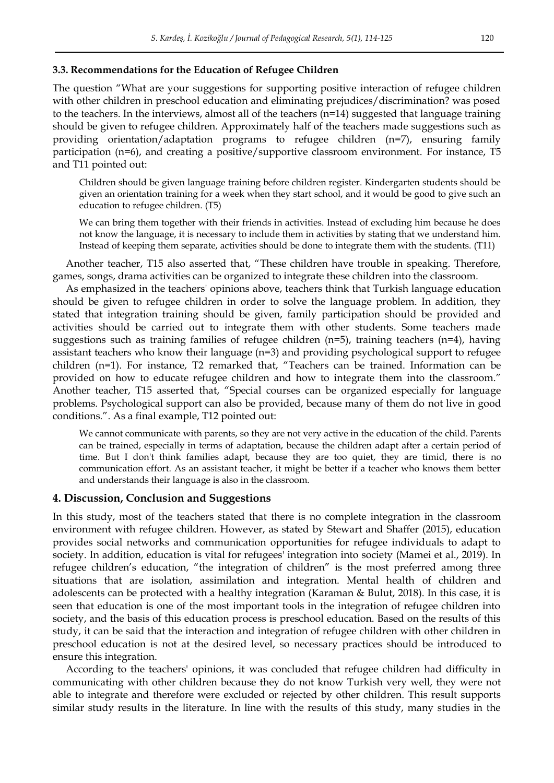#### **3.3. Recommendations for the Education of Refugee Children**

The question "What are your suggestions for supporting positive interaction of refugee children with other children in preschool education and eliminating prejudices/discrimination? was posed to the teachers. In the interviews, almost all of the teachers (n=14) suggested that language training should be given to refugee children. Approximately half of the teachers made suggestions such as providing orientation/adaptation programs to refugee children (n=7), ensuring family participation (n=6), and creating a positive/supportive classroom environment. For instance, T5 and T11 pointed out:

Children should be given language training before children register. Kindergarten students should be given an orientation training for a week when they start school, and it would be good to give such an education to refugee children. (T5)

We can bring them together with their friends in activities. Instead of excluding him because he does not know the language, it is necessary to include them in activities by stating that we understand him. Instead of keeping them separate, activities should be done to integrate them with the students. (T11)

Another teacher, T15 also asserted that, "These children have trouble in speaking. Therefore, games, songs, drama activities can be organized to integrate these children into the classroom.

As emphasized in the teachers' opinions above, teachers think that Turkish language education should be given to refugee children in order to solve the language problem. In addition, they stated that integration training should be given, family participation should be provided and activities should be carried out to integrate them with other students. Some teachers made suggestions such as training families of refugee children (n=5), training teachers (n=4), having assistant teachers who know their language (n=3) and providing psychological support to refugee children (n=1). For instance, T2 remarked that, "Teachers can be trained. Information can be provided on how to educate refugee children and how to integrate them into the classroom." Another teacher, T15 asserted that, "Special courses can be organized especially for language problems. Psychological support can also be provided, because many of them do not live in good conditions.". As a final example, T12 pointed out:

We cannot communicate with parents, so they are not very active in the education of the child. Parents can be trained, especially in terms of adaptation, because the children adapt after a certain period of time. But I don't think families adapt, because they are too quiet, they are timid, there is no communication effort. As an assistant teacher, it might be better if a teacher who knows them better and understands their language is also in the classroom.

#### **4. Discussion, Conclusion and Suggestions**

In this study, most of the teachers stated that there is no complete integration in the classroom environment with refugee children. However, as stated by Stewart and Shaffer (2015), education provides social networks and communication opportunities for refugee individuals to adapt to society. In addition, education is vital for refugees' integration into society (Mamei et al., 2019). In refugee children's education, "the integration of children" is the most preferred among three situations that are isolation, assimilation and integration. Mental health of children and adolescents can be protected with a healthy integration (Karaman & Bulut, 2018). In this case, it is seen that education is one of the most important tools in the integration of refugee children into society, and the basis of this education process is preschool education. Based on the results of this study, it can be said that the interaction and integration of refugee children with other children in preschool education is not at the desired level, so necessary practices should be introduced to ensure this integration.

According to the teachers' opinions, it was concluded that refugee children had difficulty in communicating with other children because they do not know Turkish very well, they were not able to integrate and therefore were excluded or rejected by other children. This result supports similar study results in the literature. In line with the results of this study, many studies in the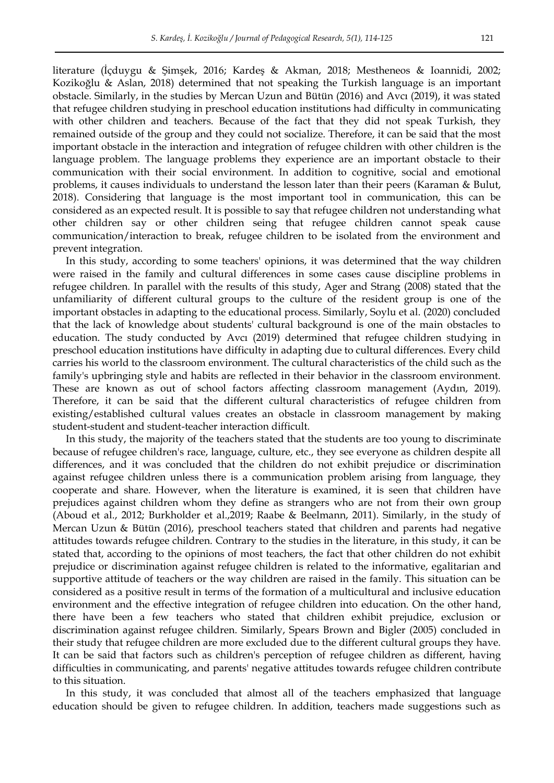literature (İçduygu & Şimşek, 2016; Kardeş & Akman, 2018; Mestheneos & Ioannidi, 2002; Kozikoğlu & Aslan, 2018) determined that not speaking the Turkish language is an important obstacle. Similarly, in the studies by Mercan Uzun and Bütün (2016) and Avcı (2019), it was stated that refugee children studying in preschool education institutions had difficulty in communicating with other children and teachers. Because of the fact that they did not speak Turkish, they remained outside of the group and they could not socialize. Therefore, it can be said that the most important obstacle in the interaction and integration of refugee children with other children is the language problem. The language problems they experience are an important obstacle to their communication with their social environment. In addition to cognitive, social and emotional problems, it causes individuals to understand the lesson later than their peers (Karaman & Bulut, 2018). Considering that language is the most important tool in communication, this can be considered as an expected result. It is possible to say that refugee children not understanding what other children say or other children seing that refugee children cannot speak cause communication/interaction to break, refugee children to be isolated from the environment and prevent integration.

In this study, according to some teachers' opinions, it was determined that the way children were raised in the family and cultural differences in some cases cause discipline problems in refugee children. In parallel with the results of this study, Ager and Strang (2008) stated that the unfamiliarity of different cultural groups to the culture of the resident group is one of the important obstacles in adapting to the educational process. Similarly, Soylu et al. (2020) concluded that the lack of knowledge about students' cultural background is one of the main obstacles to education. The study conducted by Avcı (2019) determined that refugee children studying in preschool education institutions have difficulty in adapting due to cultural differences. Every child carries his world to the classroom environment. The cultural characteristics of the child such as the family's upbringing style and habits are reflected in their behavior in the classroom environment. These are known as out of school factors affecting classroom management (Aydın, 2019). Therefore, it can be said that the different cultural characteristics of refugee children from existing/established cultural values creates an obstacle in classroom management by making student-student and student-teacher interaction difficult.

In this study, the majority of the teachers stated that the students are too young to discriminate because of refugee children's race, language, culture, etc., they see everyone as children despite all differences, and it was concluded that the children do not exhibit prejudice or discrimination against refugee children unless there is a communication problem arising from language, they cooperate and share. However, when the literature is examined, it is seen that children have prejudices against children whom they define as strangers who are not from their own group (Aboud et al., 2012; Burkholder et al.,2019; Raabe & Beelmann, 2011). Similarly, in the study of Mercan Uzun & Bütün (2016), preschool teachers stated that children and parents had negative attitudes towards refugee children. Contrary to the studies in the literature, in this study, it can be stated that, according to the opinions of most teachers, the fact that other children do not exhibit prejudice or discrimination against refugee children is related to the informative, egalitarian and supportive attitude of teachers or the way children are raised in the family. This situation can be considered as a positive result in terms of the formation of a multicultural and inclusive education environment and the effective integration of refugee children into education. On the other hand, there have been a few teachers who stated that children exhibit prejudice, exclusion or discrimination against refugee children. Similarly, Spears Brown and Bigler (2005) concluded in their study that refugee children are more excluded due to the different cultural groups they have. It can be said that factors such as children's perception of refugee children as different, having difficulties in communicating, and parents' negative attitudes towards refugee children contribute to this situation.

In this study, it was concluded that almost all of the teachers emphasized that language education should be given to refugee children. In addition, teachers made suggestions such as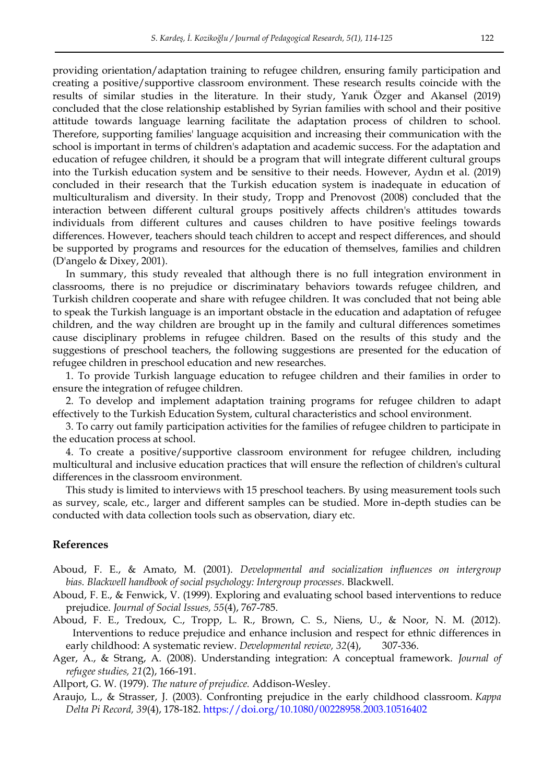providing orientation/adaptation training to refugee children, ensuring family participation and creating a positive/supportive classroom environment. These research results coincide with the results of similar studies in the literature. In their study, Yanık Özger and Akansel (2019) concluded that the close relationship established by Syrian families with school and their positive attitude towards language learning facilitate the adaptation process of children to school. Therefore, supporting families' language acquisition and increasing their communication with the school is important in terms of children's adaptation and academic success. For the adaptation and education of refugee children, it should be a program that will integrate different cultural groups into the Turkish education system and be sensitive to their needs. However, Aydın et al. (2019) concluded in their research that the Turkish education system is inadequate in education of multiculturalism and diversity. In their study, Tropp and Prenovost (2008) concluded that the interaction between different cultural groups positively affects children's attitudes towards individuals from different cultures and causes children to have positive feelings towards differences. However, teachers should teach children to accept and respect differences, and should be supported by programs and resources for the education of themselves, families and children (D'angelo & Dixey, 2001).

In summary, this study revealed that although there is no full integration environment in classrooms, there is no prejudice or discriminatary behaviors towards refugee children, and Turkish children cooperate and share with refugee children. It was concluded that not being able to speak the Turkish language is an important obstacle in the education and adaptation of refugee children, and the way children are brought up in the family and cultural differences sometimes cause disciplinary problems in refugee children. Based on the results of this study and the suggestions of preschool teachers, the following suggestions are presented for the education of refugee children in preschool education and new researches.

1. To provide Turkish language education to refugee children and their families in order to ensure the integration of refugee children.

2. To develop and implement adaptation training programs for refugee children to adapt effectively to the Turkish Education System, cultural characteristics and school environment.

3. To carry out family participation activities for the families of refugee children to participate in the education process at school.

4. To create a positive/supportive classroom environment for refugee children, including multicultural and inclusive education practices that will ensure the reflection of children's cultural differences in the classroom environment.

This study is limited to interviews with 15 preschool teachers. By using measurement tools such as survey, scale, etc., larger and different samples can be studied. More in-depth studies can be conducted with data collection tools such as observation, diary etc.

# **References**

- Aboud, F. E., & Amato, M. (2001). *Developmental and socialization influences on intergroup bias. Blackwell handbook of social psychology: Intergroup processes.* Blackwell.
- Aboud, F. E., & Fenwick, V. (1999). Exploring and evaluating school based interventions to reduce prejudice. *Journal of Social Issues, 55*(4), 767-785.
- Aboud, F. E., Tredoux, C., Tropp, L. R., Brown, C. S., Niens, U., & Noor, N. M. (2012). Interventions to reduce prejudice and enhance inclusion and respect for ethnic differences in early childhood: A systematic review. *Developmental review, 32*(4), 307-336.
- Ager, A., & Strang, A. (2008). Understanding integration: A conceptual framework. *Journal of refugee studies, 21*(2), 166-191.
- Allport, G. W. (1979). *The nature of prejudice.* Addison-Wesley.
- Araujo, L., & Strasser, J. (2003). Confronting prejudice in the early childhood classroom. *Kappa Delta Pi Record, 39*(4), 178-182.<https://doi.org/10.1080/00228958.2003.10516402>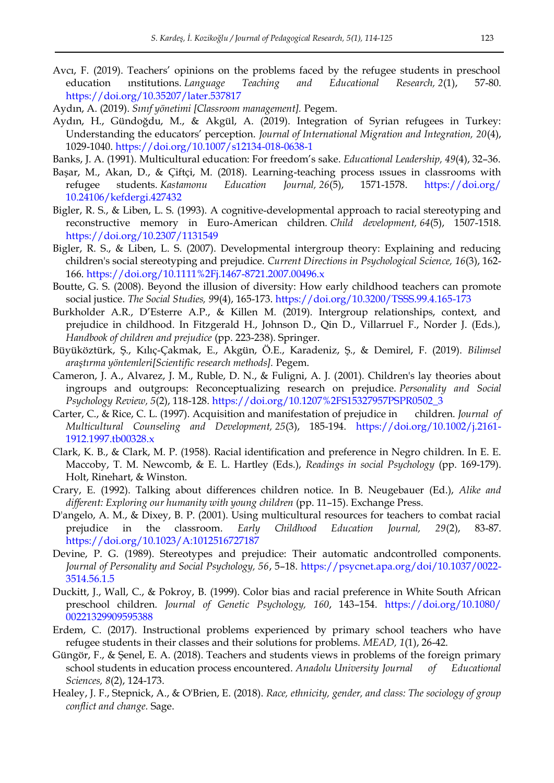- Avcı, F. (2019). Teachers' opinions on the problems faced by the refugee students in preschool education ınstitutions. *Language Teaching and Educational Research, 2*(1), 57-80. <https://doi.org/10.35207/later.537817>
- Aydın, A. (2019). *Sınıf yönetimi [Classroom management].* Pegem.
- Aydın, H., Gündoğdu, M., & Akgül, A. (2019). Integration of Syrian refugees in Turkey: Understanding the educators' perception. *Journal of International Migration and Integration, 20*(4), 1029-1040.<https://doi.org/10.1007/s12134-018-0638-1>
- Banks, J. A. (1991). Multicultural education: For freedom's sake. *Educational Leadership, 49*(4), 32–36.
- Başar, M., Akan, D., & Çiftçi, M. (2018). Learning-teaching process ıssues in classrooms with refugee students. *Kastamonu Education Journal, 26*(5), 1571-1578. [https://doi.org/](https://doi.org/%2010.24106/kefdergi.427432)  [10.24106/kefdergi.427432](https://doi.org/%2010.24106/kefdergi.427432)
- Bigler, R. S., & Liben, L. S. (1993). A cognitive-developmental approach to racial stereotyping and reconstructive memory in Euro‐American children. *Child development, 64*(5), 1507-1518. <https://doi.org/10.2307/1131549>
- Bigler, R. S., & Liben, L. S. (2007). Developmental intergroup theory: Explaining and reducing children's social stereotyping and prejudice. *Current Directions in Psychological Science, 16*(3), 162- 166.<https://doi.org/10.1111%2Fj.1467-8721.2007.00496.x>
- Boutte, G. S. (2008). Beyond the illusion of diversity: How early childhood teachers can promote social justice. *The Social Studies, 9*9(4), 165-173.<https://doi.org/10.3200/TSSS.99.4.165-173>
- Burkholder A.R., D'Esterre A.P., & Killen M. (2019). Intergroup relationships, context, and prejudice in childhood. In Fitzgerald H., Johnson D., Qin D., Villarruel F., Norder J. (Eds.), *Handbook of children and prejudice* (pp. 223-238). Springer.
- Büyüköztürk, Ş., Kılıç-Çakmak, E., Akgün, Ö.E., Karadeniz, Ş., & Demirel, F. (2019). *Bilimsel araştırma yöntemleri[Scientific research methods].* Pegem.
- Cameron, J. A., Alvarez, J. M., Ruble, D. N., & Fuligni, A. J. (2001). Children's lay theories about ingroups and outgroups: Reconceptualizing research on prejudice. *Personality and Social Psychology Review, 5*(2), 118-128. [https://doi.org/10.1207%2FS15327957PSPR0502\\_3](https://doi.org/10.1207%2FS15327957PSPR0502_3)
- Carter, C., & Rice, C. L. (1997). Acquisition and manifestation of prejudice in children. *Journal of Multicultural Counseling and Development, 25*(3), 185-194. [https://doi.org/10.1002/j.2161-](https://doi.org/10.1002/j.2161-1912.1997.tb00328.x) [1912.1997.tb00328.x](https://doi.org/10.1002/j.2161-1912.1997.tb00328.x)
- Clark, K. B., & Clark, M. P. (1958). Racial identification and preference in Negro children. In E. E. Maccoby, T. M. Newcomb, & E. L. Hartley (Eds.), *Readings in social Psychology* (pp. 169-179). Holt, Rinehart, & Winston.
- Crary, E. (1992). Talking about differences children notice. In B. Neugebauer (Ed.), *Alike and different: Exploring our humanity with young children* (pp. 11–15). Exchange Press.
- D'angelo, A. M., & Dixey, B. P. (2001). Using multicultural resources for teachers to combat racial prejudice in the classroom. *Early Childhood Education Journal, 29*(2), 83-87. <https://doi.org/10.1023/A:1012516727187>
- Devine, P. G. (1989). Stereotypes and prejudice: Their automatic andcontrolled components. *Journal of Personality and Social Psychology, 56*, 5–18. [https://psycnet.apa.org/doi/10.1037/0022-](https://psycnet.apa.org/doi/10.1037/0022-3514.56.1.5) [3514.56.1.5](https://psycnet.apa.org/doi/10.1037/0022-3514.56.1.5)
- Duckitt, J., Wall, C., & Pokroy, B. (1999). Color bias and racial preference in White South African preschool children. *Journal of Genetic Psychology, 160*, 143–154. [https://doi.org/10.1080/](https://doi.org/10.1080/%2000221329909595388)  [00221329909595388](https://doi.org/10.1080/%2000221329909595388)
- Erdem, C. (2017). Instructional problems experienced by primary school teachers who have refugee students in their classes and their solutions for problems. *MEAD, 1*(1), 26-42.
- Güngör, F., & Şenel, E. A. (2018). Teachers and students views in problems of the foreign primary school students in education process encountered. *Anadolu University Journal of Educational Sciences, 8*(2), 124-173.
- Healey, J. F., Stepnick, A., & O'Brien, E. (2018). *Race, ethnicity, gender, and class: The sociology of group conflict and change.* Sage.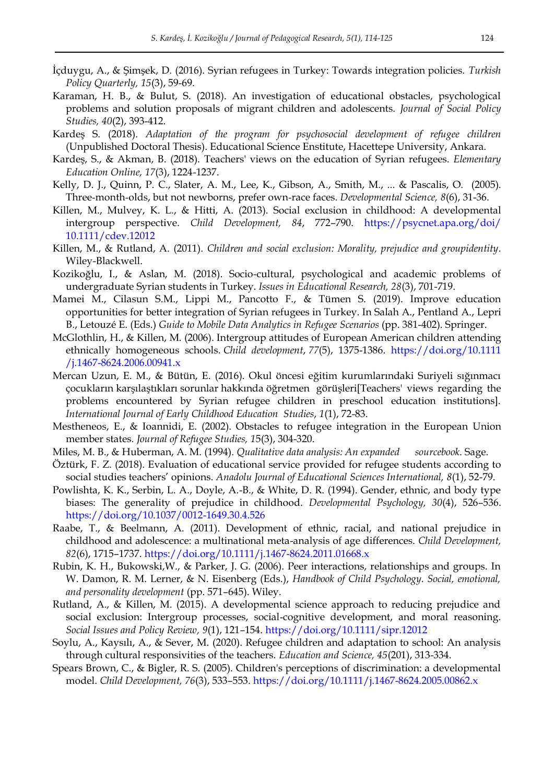- İçduygu, A., & Şimşek, D. (2016). Syrian refugees in Turkey: Towards integration policies. *Turkish Policy Quarterly, 15*(3), 59-69.
- Karaman, H. B., & Bulut, S. (2018). An investigation of educational obstacles, psychological problems and solution proposals of migrant children and adolescents. *Journal of Social Policy Studies, 40*(2), 393-412.
- Kardeş S. (2018). *Adaptation of the program for psychosocial development of refugee children* (Unpublished Doctoral Thesis). Educational Science Enstitute, Hacettepe University, Ankara.
- Kardeş, S., & Akman, B. (2018). Teachers' views on the education of Syrian refugees. *Elementary Education Online, 17*(3), 1224-1237.
- Kelly, D. J., Quinn, P. C., Slater, A. M., Lee, K., Gibson, A., Smith, M., ... & Pascalis, O. (2005). Three‐month‐olds, but not newborns, prefer own‐race faces. *Developmental Science, 8*(6), 31-36.
- Killen, M., Mulvey, K. L., & Hitti, A. (2013). Social exclusion in childhood: A developmental intergroup perspective. *Child Development, 84*, 772–790. [https://psycnet.apa.org/doi/](https://psycnet.apa.org/doi/%2010.1111/cdev.12012)  [10.1111/cdev.12012](https://psycnet.apa.org/doi/%2010.1111/cdev.12012)
- Killen, M., & Rutland, A. (2011). *Children and social exclusion: Morality, prejudice and groupidentity.* Wiley-Blackwell.
- Kozikoğlu, I., & Aslan, M. (2018). Socio-cultural, psychological and academic problems of undergraduate Syrian students in Turkey. *Issues in Educational Research, 28*(3), 701-719.
- Mamei M., Cilasun S.M., Lippi M., Pancotto F., & Tümen S. (2019). Improve education opportunities for better integration of Syrian refugees in Turkey. In Salah A., Pentland A., Lepri B., Letouzé E. (Eds.) *Guide to Mobile Data Analytics in Refugee Scenarios* (pp. 381-402). Springer.
- McGlothlin, H., & Killen, M. (2006). Intergroup attitudes of European American children attending ethnically homogeneous schools. *Child development*, *77*(5), 1375-1386. [https://doi.org/10.1111](https://doi.org/10.1111%20/j.1467-8624.2006.00941.x)  [/j.1467-8624.2006.00941.x](https://doi.org/10.1111%20/j.1467-8624.2006.00941.x)
- Mercan Uzun, E. M., & Bütün, E. (2016). Okul öncesi eğitim kurumlarındaki Suriyeli sığınmacı çocukların karşılaştıkları sorunlar hakkında öğretmen görüşleri[Teachers' views regarding the problems encountered by Syrian refugee children in preschool education institutions]. *International Journal of Early Childhood Education Studies*, *1*(1), 72-83.
- Mestheneos, E., & Ioannidi, E. (2002). Obstacles to refugee integration in the European Union member states. *Journal of Refugee Studies, 1*5(3), 304-320.
- Miles, M. B., & Huberman, A. M. (1994). *Qualitative data analysis: An expanded sourcebook*. Sage.
- Öztürk, F. Z. (2018). Evaluation of educational service provided for refugee students according to social studies teachers' opinions. *Anadolu Journal of Educational Sciences International, 8*(1), 52-79.
- Powlishta, K. K., Serbin, L. A., Doyle, A.-B., & White, D. R. (1994). Gender, ethnic, and body type biases: The generality of prejudice in childhood. *Developmental Psychology, 30*(4), 526–536. <https://doi.org/10.1037/0012-1649.30.4.526>
- Raabe, T., & Beelmann, A. (2011). Development of ethnic, racial, and national prejudice in childhood and adolescence: a multinational meta-analysis of age differences. *Child Development, 82*(6), 1715–1737.<https://doi.org/10.1111/j.1467-8624.2011.01668.x>
- Rubin, K. H., Bukowski,W., & Parker, J. G. (2006). Peer interactions, relationships and groups. In W. Damon, R. M. Lerner, & N. Eisenberg (Eds.), *Handbook of Child Psychology. Social, emotional, and personality development* (pp. 571–645). Wiley.
- Rutland, A., & Killen, M. (2015). A developmental science approach to reducing prejudice and social exclusion: Intergroup processes, social-cognitive development, and moral reasoning. *Social Issues and Policy Review, 9*(1), 121–154.<https://doi.org/10.1111/sipr.12012>
- Soylu, A., Kaysılı, A., & Sever, M. (2020). Refugee children and adaptation to school: An analysis through cultural responsivities of the teachers. *Education and Science, 45*(201), 313-334.
- Spears Brown, C., & Bigler, R. S. (2005). Children's perceptions of discrimination: a developmental model. *Child Development, 76*(3), 533–553.<https://doi.org/10.1111/j.1467-8624.2005.00862.x>